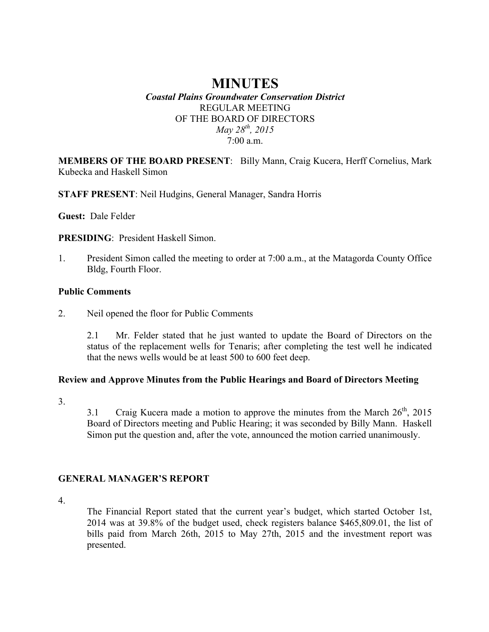# **MINUTES** *Coastal Plains Groundwater Conservation District*

## REGULAR MEETING OF THE BOARD OF DIRECTORS *May 28th, 2015* 7:00 a.m.

**MEMBERS OF THE BOARD PRESENT**: Billy Mann, Craig Kucera, Herff Cornelius, Mark Kubecka and Haskell Simon

**STAFF PRESENT**: Neil Hudgins, General Manager, Sandra Horris

**Guest:** Dale Felder

**PRESIDING**: President Haskell Simon.

1. President Simon called the meeting to order at 7:00 a.m., at the Matagorda County Office Bldg, Fourth Floor.

### **Public Comments**

2. Neil opened the floor for Public Comments

2.1 Mr. Felder stated that he just wanted to update the Board of Directors on the status of the replacement wells for Tenaris; after completing the test well he indicated that the news wells would be at least 500 to 600 feet deep.

## **Review and Approve Minutes from the Public Hearings and Board of Directors Meeting**

3.

3.1 Craig Kucera made a motion to approve the minutes from the March  $26<sup>th</sup>$ , 2015 Board of Directors meeting and Public Hearing; it was seconded by Billy Mann. Haskell Simon put the question and, after the vote, announced the motion carried unanimously.

## **GENERAL MANAGER'S REPORT**

4.

The Financial Report stated that the current year's budget, which started October 1st, 2014 was at 39.8% of the budget used, check registers balance \$465,809.01, the list of bills paid from March 26th, 2015 to May 27th, 2015 and the investment report was presented.